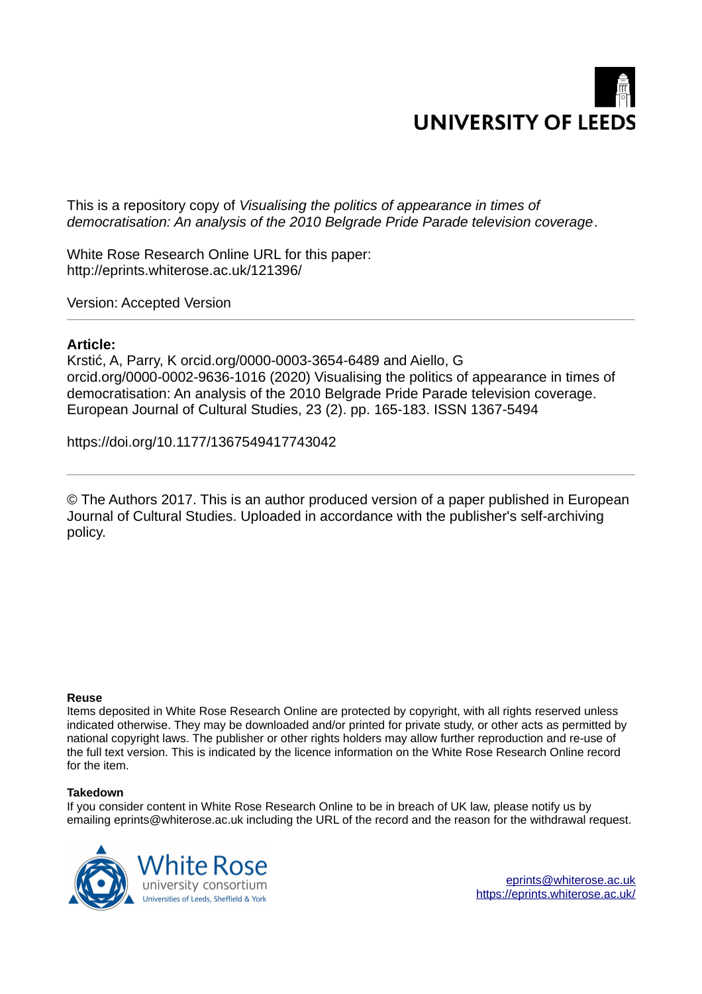

This is a repository copy of *Visualising the politics of appearance in times of democratisation: An analysis of the 2010 Belgrade Pride Parade television coverage*.

White Rose Research Online URL for this paper: http://eprints.whiterose.ac.uk/121396/

Version: Accepted Version

## **Article:**

Krstić, A, Parry, K orcid.org/0000-0003-3654-6489 and Aiello, G orcid.org/0000-0002-9636-1016 (2020) Visualising the politics of appearance in times of democratisation: An analysis of the 2010 Belgrade Pride Parade television coverage. European Journal of Cultural Studies, 23 (2). pp. 165-183. ISSN 1367-5494

https://doi.org/10.1177/1367549417743042

© The Authors 2017. This is an author produced version of a paper published in European Journal of Cultural Studies. Uploaded in accordance with the publisher's self-archiving policy.

#### **Reuse**

Items deposited in White Rose Research Online are protected by copyright, with all rights reserved unless indicated otherwise. They may be downloaded and/or printed for private study, or other acts as permitted by national copyright laws. The publisher or other rights holders may allow further reproduction and re-use of the full text version. This is indicated by the licence information on the White Rose Research Online record for the item.

#### **Takedown**

If you consider content in White Rose Research Online to be in breach of UK law, please notify us by emailing eprints@whiterose.ac.uk including the URL of the record and the reason for the withdrawal request.



[eprints@whiterose.ac.uk](mailto:eprints@whiterose.ac.uk) <https://eprints.whiterose.ac.uk/>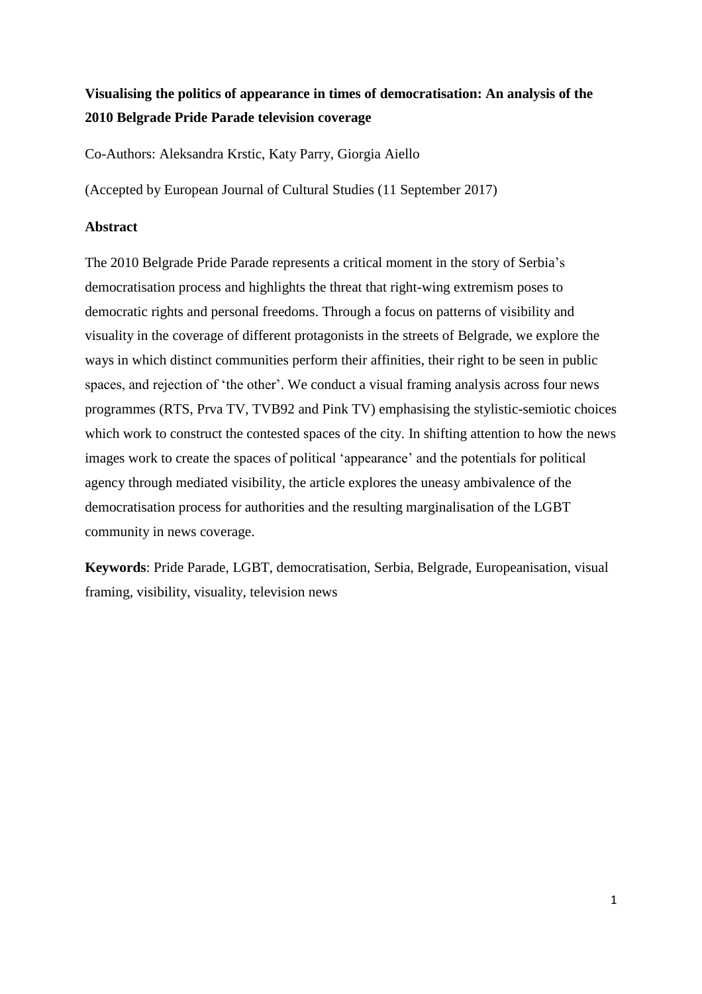# **Visualising the politics of appearance in times of democratisation: An analysis of the 2010 Belgrade Pride Parade television coverage**

Co-Authors: Aleksandra Krstic, Katy Parry, Giorgia Aiello

(Accepted by European Journal of Cultural Studies (11 September 2017)

# **Abstract**

The 2010 Belgrade Pride Parade represents a critical moment in the story of Serbia's democratisation process and highlights the threat that right-wing extremism poses to democratic rights and personal freedoms. Through a focus on patterns of visibility and visuality in the coverage of different protagonists in the streets of Belgrade, we explore the ways in which distinct communities perform their affinities, their right to be seen in public spaces, and rejection of 'the other'. We conduct a visual framing analysis across four news programmes (RTS, Prva TV, TVB92 and Pink TV) emphasising the stylistic-semiotic choices which work to construct the contested spaces of the city. In shifting attention to how the news images work to create the spaces of political 'appearance' and the potentials for political agency through mediated visibility, the article explores the uneasy ambivalence of the democratisation process for authorities and the resulting marginalisation of the LGBT community in news coverage.

**Keywords**: Pride Parade, LGBT, democratisation, Serbia, Belgrade, Europeanisation, visual framing, visibility, visuality, television news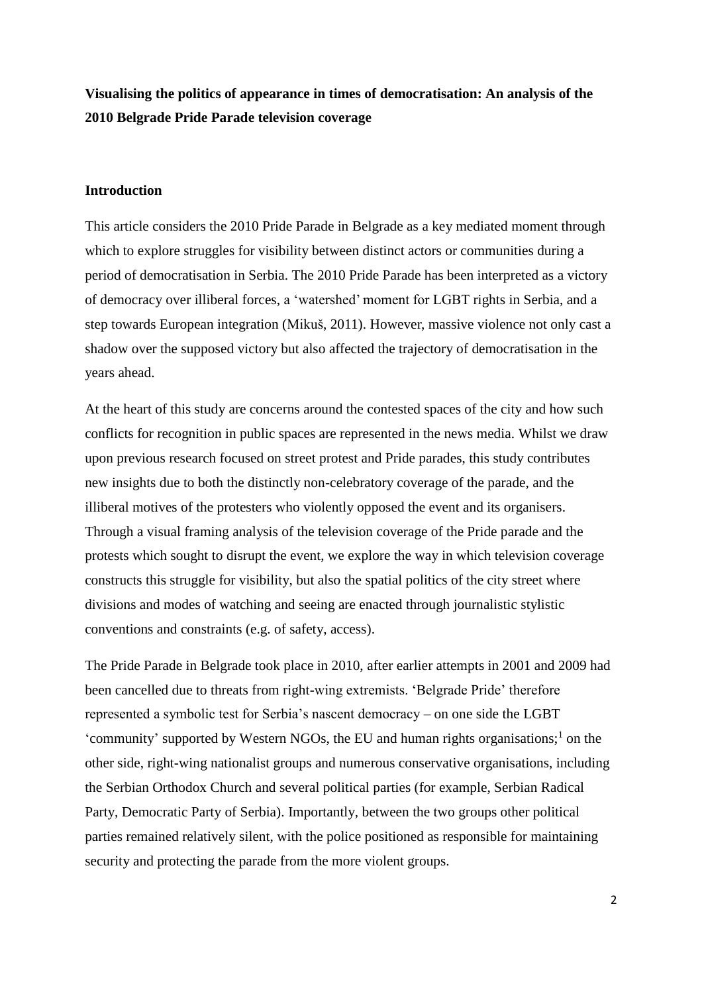**Visualising the politics of appearance in times of democratisation: An analysis of the 2010 Belgrade Pride Parade television coverage** 

## **Introduction**

This article considers the 2010 Pride Parade in Belgrade as a key mediated moment through which to explore struggles for visibility between distinct actors or communities during a period of democratisation in Serbia. The 2010 Pride Parade has been interpreted as a victory of democracy over illiberal forces, a 'watershed' moment for LGBT rights in Serbia, and a step towards European integration (Mikuš, 2011). However, massive violence not only cast a shadow over the supposed victory but also affected the trajectory of democratisation in the years ahead.

At the heart of this study are concerns around the contested spaces of the city and how such conflicts for recognition in public spaces are represented in the news media. Whilst we draw upon previous research focused on street protest and Pride parades, this study contributes new insights due to both the distinctly non-celebratory coverage of the parade, and the illiberal motives of the protesters who violently opposed the event and its organisers. Through a visual framing analysis of the television coverage of the Pride parade and the protests which sought to disrupt the event, we explore the way in which television coverage constructs this struggle for visibility, but also the spatial politics of the city street where divisions and modes of watching and seeing are enacted through journalistic stylistic conventions and constraints (e.g. of safety, access).

The Pride Parade in Belgrade took place in 2010, after earlier attempts in 2001 and 2009 had been cancelled due to threats from right-wing extremists. 'Belgrade Pride' therefore represented a symbolic test for Serbia's nascent democracy – on one side the LGBT 'community' supported by Western NGOs, the EU and human rights organisations; $<sup>1</sup>$  on the</sup> other side, right-wing nationalist groups and numerous conservative organisations, including the Serbian Orthodox Church and several political parties (for example, Serbian Radical Party, Democratic Party of Serbia). Importantly, between the two groups other political parties remained relatively silent, with the police positioned as responsible for maintaining security and protecting the parade from the more violent groups.

2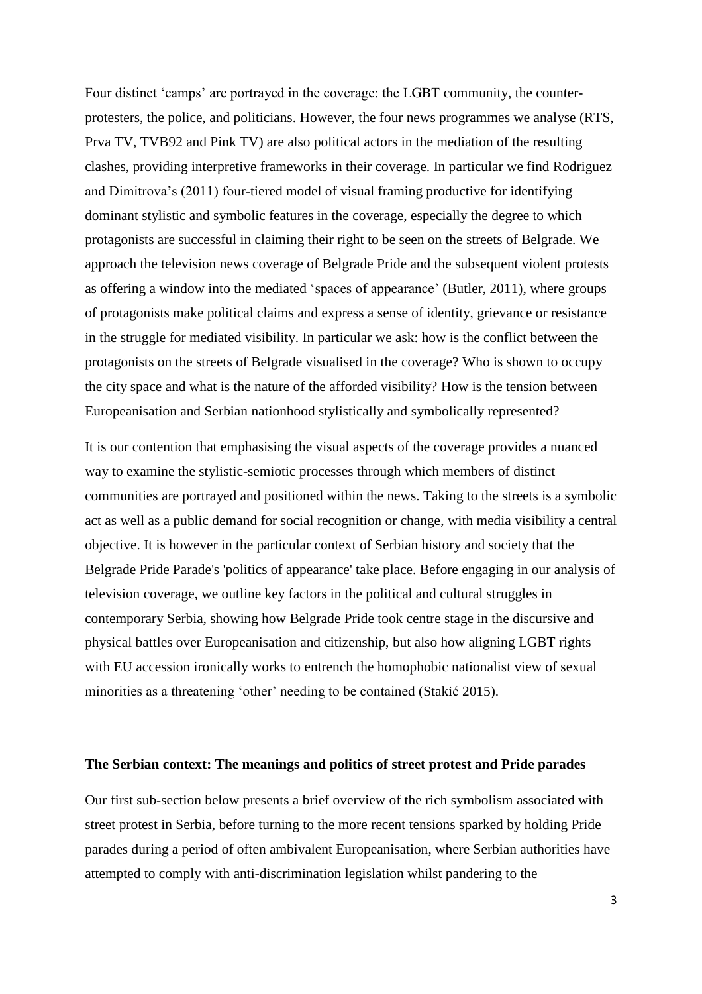Four distinct 'camps' are portrayed in the coverage: the LGBT community, the counterprotesters, the police, and politicians. However, the four news programmes we analyse (RTS, Prva TV, TVB92 and Pink TV) are also political actors in the mediation of the resulting clashes, providing interpretive frameworks in their coverage. In particular we find Rodriguez and Dimitrova's (2011) four-tiered model of visual framing productive for identifying dominant stylistic and symbolic features in the coverage, especially the degree to which protagonists are successful in claiming their right to be seen on the streets of Belgrade. We approach the television news coverage of Belgrade Pride and the subsequent violent protests as offering a window into the mediated 'spaces of appearance' (Butler, 2011), where groups of protagonists make political claims and express a sense of identity, grievance or resistance in the struggle for mediated visibility. In particular we ask: how is the conflict between the protagonists on the streets of Belgrade visualised in the coverage? Who is shown to occupy the city space and what is the nature of the afforded visibility? How is the tension between Europeanisation and Serbian nationhood stylistically and symbolically represented?

It is our contention that emphasising the visual aspects of the coverage provides a nuanced way to examine the stylistic-semiotic processes through which members of distinct communities are portrayed and positioned within the news. Taking to the streets is a symbolic act as well as a public demand for social recognition or change, with media visibility a central objective. It is however in the particular context of Serbian history and society that the Belgrade Pride Parade's 'politics of appearance' take place. Before engaging in our analysis of television coverage, we outline key factors in the political and cultural struggles in contemporary Serbia, showing how Belgrade Pride took centre stage in the discursive and physical battles over Europeanisation and citizenship, but also how aligning LGBT rights with EU accession ironically works to entrench the homophobic nationalist view of sexual minorities as a threatening 'other' needing to be contained (Stakić 2015).

#### **The Serbian context: The meanings and politics of street protest and Pride parades**

Our first sub-section below presents a brief overview of the rich symbolism associated with street protest in Serbia, before turning to the more recent tensions sparked by holding Pride parades during a period of often ambivalent Europeanisation, where Serbian authorities have attempted to comply with anti-discrimination legislation whilst pandering to the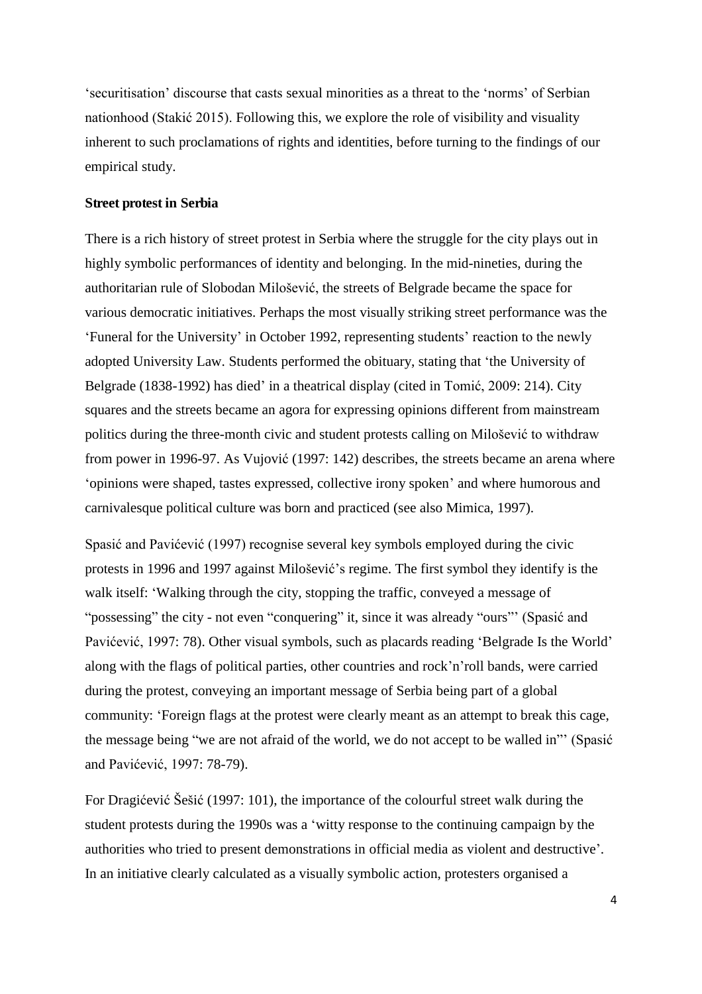'securitisation' discourse that casts sexual minorities as a threat to the 'norms' of Serbian nationhood (Stakić 2015). Following this, we explore the role of visibility and visuality inherent to such proclamations of rights and identities, before turning to the findings of our empirical study.

### **Street protest in Serbia**

There is a rich history of street protest in Serbia where the struggle for the city plays out in highly symbolic performances of identity and belonging. In the mid-nineties, during the authoritarian rule of Slobodan Milošević, the streets of Belgrade became the space for various democratic initiatives. Perhaps the most visually striking street performance was the 'Funeral for the University' in October 1992, representing students' reaction to the newly adopted University Law. Students performed the obituary, stating that 'the University of Belgrade (1838-1992) has died' in a theatrical display (cited in Tomić, 2009: 214). City squares and the streets became an agora for expressing opinions different from mainstream politics during the three-month civic and student protests calling on Milošević to withdraw from power in 1996-97. As Vujović (1997: 142) describes, the streets became an arena where 'opinions were shaped, tastes expressed, collective irony spoken' and where humorous and carnivalesque political culture was born and practiced (see also Mimica, 1997).

Spasić and Pavićević (1997) recognise several key symbols employed during the civic protests in 1996 and 1997 against Milošević's regime. The first symbol they identify is the walk itself: 'Walking through the city, stopping the traffic, conveyed a message of "possessing" the city - not even "conquering" it, since it was already "ours"' (Spasić and Pavićević, 1997: 78). Other visual symbols, such as placards reading 'Belgrade Is the World' along with the flags of political parties, other countries and rock'n'roll bands, were carried during the protest, conveying an important message of Serbia being part of a global community: 'Foreign flags at the protest were clearly meant as an attempt to break this cage, the message being "we are not afraid of the world, we do not accept to be walled in"' (Spasić and Pavićević, 1997: 78-79).

For Dragićević Šešić (1997: 101), the importance of the colourful street walk during the student protests during the 1990s was a 'witty response to the continuing campaign by the authorities who tried to present demonstrations in official media as violent and destructive'. In an initiative clearly calculated as a visually symbolic action, protesters organised a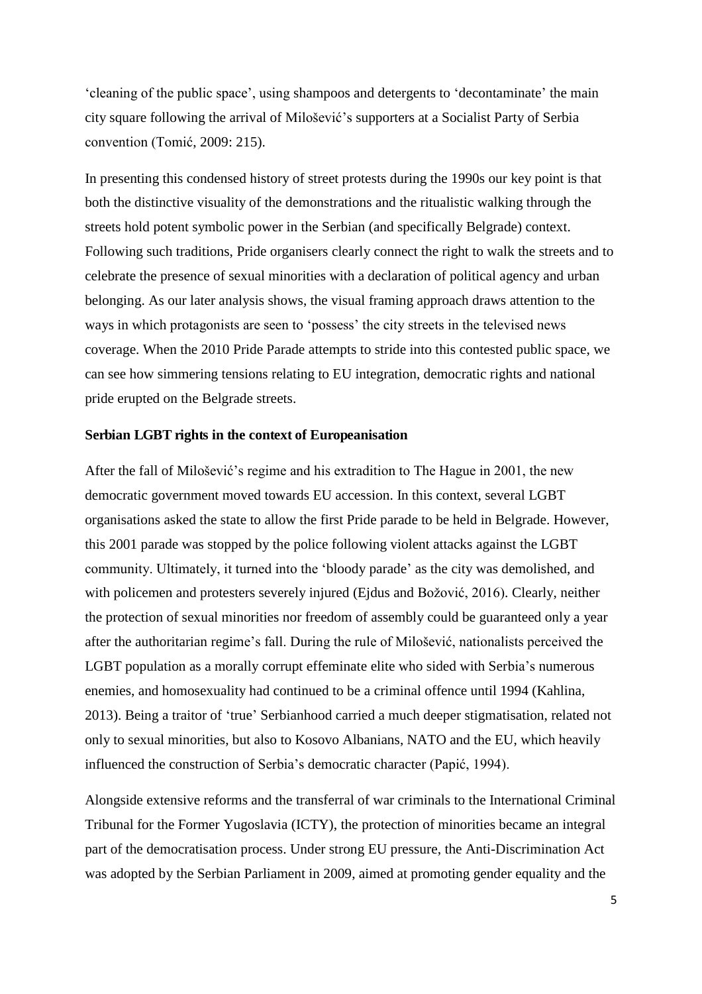'cleaning of the public space', using shampoos and detergents to 'decontaminate' the main city square following the arrival of Milošević's supporters at a Socialist Party of Serbia convention (Tomić, 2009: 215).

In presenting this condensed history of street protests during the 1990s our key point is that both the distinctive visuality of the demonstrations and the ritualistic walking through the streets hold potent symbolic power in the Serbian (and specifically Belgrade) context. Following such traditions, Pride organisers clearly connect the right to walk the streets and to celebrate the presence of sexual minorities with a declaration of political agency and urban belonging. As our later analysis shows, the visual framing approach draws attention to the ways in which protagonists are seen to 'possess' the city streets in the televised news coverage. When the 2010 Pride Parade attempts to stride into this contested public space, we can see how simmering tensions relating to EU integration, democratic rights and national pride erupted on the Belgrade streets.

## **Serbian LGBT rights in the context of Europeanisation**

After the fall of Milošević's regime and his extradition to The Hague in 2001, the new democratic government moved towards EU accession. In this context, several LGBT organisations asked the state to allow the first Pride parade to be held in Belgrade. However, this 2001 parade was stopped by the police following violent attacks against the LGBT community. Ultimately, it turned into the 'bloody parade' as the city was demolished, and with policemen and protesters severely injured (Ejdus and Božović, 2016). Clearly, neither the protection of sexual minorities nor freedom of assembly could be guaranteed only a year after the authoritarian regime's fall. During the rule of Milošević, nationalists perceived the LGBT population as a morally corrupt effeminate elite who sided with Serbia's numerous enemies, and homosexuality had continued to be a criminal offence until 1994 (Kahlina, 2013). Being a traitor of 'true' Serbianhood carried a much deeper stigmatisation, related not only to sexual minorities, but also to Kosovo Albanians, NATO and the EU, which heavily influenced the construction of Serbia's democratic character (Papić, 1994).

Alongside extensive reforms and the transferral of war criminals to the International Criminal Tribunal for the Former Yugoslavia (ICTY), the protection of minorities became an integral part of the democratisation process. Under strong EU pressure, the Anti-Discrimination Act was adopted by the Serbian Parliament in 2009, aimed at promoting gender equality and the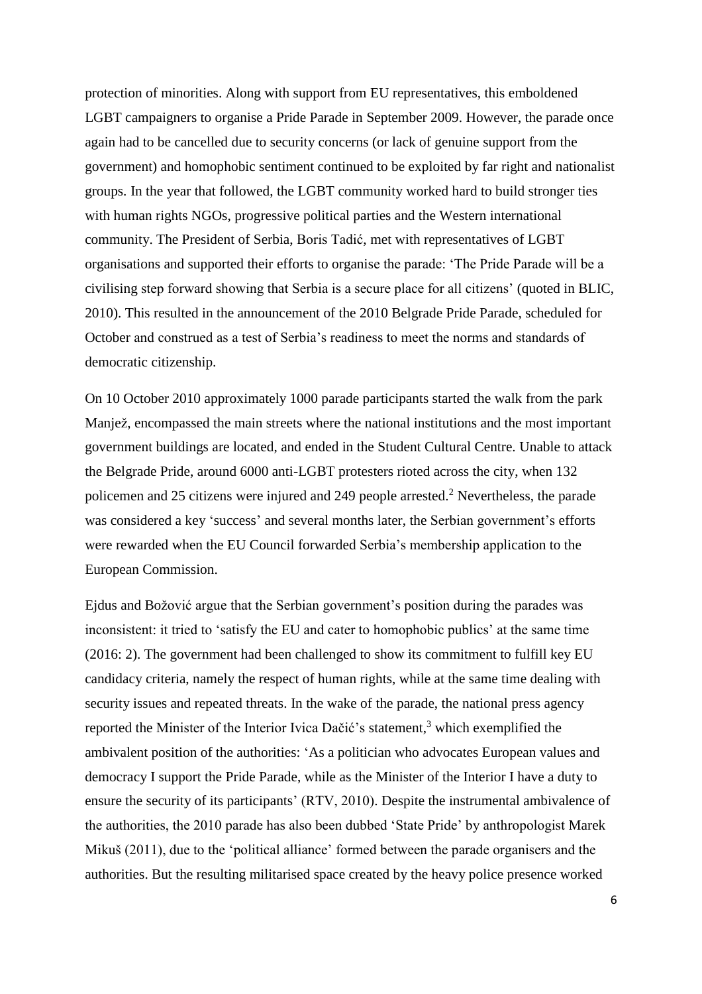protection of minorities. Along with support from EU representatives, this emboldened LGBT campaigners to organise a Pride Parade in September 2009. However, the parade once again had to be cancelled due to security concerns (or lack of genuine support from the government) and homophobic sentiment continued to be exploited by far right and nationalist groups. In the year that followed, the LGBT community worked hard to build stronger ties with human rights NGOs, progressive political parties and the Western international community. The President of Serbia, Boris Tadić, met with representatives of LGBT organisations and supported their efforts to organise the parade: 'The Pride Parade will be a civilising step forward showing that Serbia is a secure place for all citizens' (quoted in BLIC, 2010). This resulted in the announcement of the 2010 Belgrade Pride Parade, scheduled for October and construed as a test of Serbia's readiness to meet the norms and standards of democratic citizenship.

On 10 October 2010 approximately 1000 parade participants started the walk from the park Manjež, encompassed the main streets where the national institutions and the most important government buildings are located, and ended in the Student Cultural Centre. Unable to attack the Belgrade Pride, around 6000 anti-LGBT protesters rioted across the city, when 132 policemen and 25 citizens were injured and 249 people arrested.<sup>2</sup> Nevertheless, the parade was considered a key 'success' and several months later, the Serbian government's efforts were rewarded when the EU Council forwarded Serbia's membership application to the European Commission.

Ejdus and Božović argue that the Serbian government's position during the parades was inconsistent: it tried to 'satisfy the EU and cater to homophobic publics' at the same time (2016: 2). The government had been challenged to show its commitment to fulfill key EU candidacy criteria, namely the respect of human rights, while at the same time dealing with security issues and repeated threats. In the wake of the parade, the national press agency reported the Minister of the Interior Ivica Dačić's statement,<sup>3</sup> which exemplified the ambivalent position of the authorities: 'As a politician who advocates European values and democracy I support the Pride Parade, while as the Minister of the Interior I have a duty to ensure the security of its participants' (RTV, 2010). Despite the instrumental ambivalence of the authorities, the 2010 parade has also been dubbed 'State Pride' by anthropologist Marek Mikuš (2011), due to the 'political alliance' formed between the parade organisers and the authorities. But the resulting militarised space created by the heavy police presence worked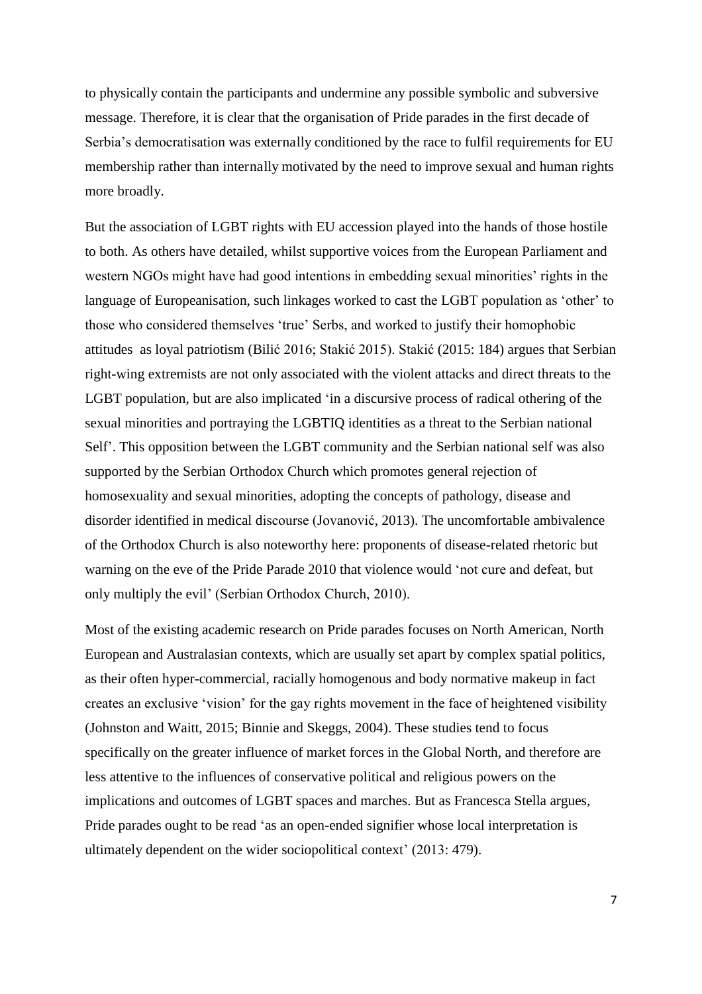to physically contain the participants and undermine any possible symbolic and subversive message. Therefore, it is clear that the organisation of Pride parades in the first decade of Serbia's democratisation was externally conditioned by the race to fulfil requirements for EU membership rather than internally motivated by the need to improve sexual and human rights more broadly.

But the association of LGBT rights with EU accession played into the hands of those hostile to both. As others have detailed, whilst supportive voices from the European Parliament and western NGOs might have had good intentions in embedding sexual minorities' rights in the language of Europeanisation, such linkages worked to cast the LGBT population as 'other' to those who considered themselves 'true' Serbs, and worked to justify their homophobic attitudes as loyal patriotism (Bilić 2016; Stakić 2015). Stakić (2015: 184) argues that Serbian right-wing extremists are not only associated with the violent attacks and direct threats to the LGBT population, but are also implicated 'in a discursive process of radical othering of the sexual minorities and portraying the LGBTIQ identities as a threat to the Serbian national Self'. This opposition between the LGBT community and the Serbian national self was also supported by the Serbian Orthodox Church which promotes general rejection of homosexuality and sexual minorities, adopting the concepts of pathology, disease and disorder identified in medical discourse (Jovanović, 2013). The uncomfortable ambivalence of the Orthodox Church is also noteworthy here: proponents of disease-related rhetoric but warning on the eve of the Pride Parade 2010 that violence would 'not cure and defeat, but only multiply the evil' (Serbian Orthodox Church, 2010).

Most of the existing academic research on Pride parades focuses on North American, North European and Australasian contexts, which are usually set apart by complex spatial politics, as their often hyper-commercial, racially homogenous and body normative makeup in fact creates an exclusive 'vision' for the gay rights movement in the face of heightened visibility (Johnston and Waitt, 2015; Binnie and Skeggs, 2004). These studies tend to focus specifically on the greater influence of market forces in the Global North, and therefore are less attentive to the influences of conservative political and religious powers on the implications and outcomes of LGBT spaces and marches. But as Francesca Stella argues, Pride parades ought to be read 'as an open-ended signifier whose local interpretation is ultimately dependent on the wider sociopolitical context' (2013: 479).

7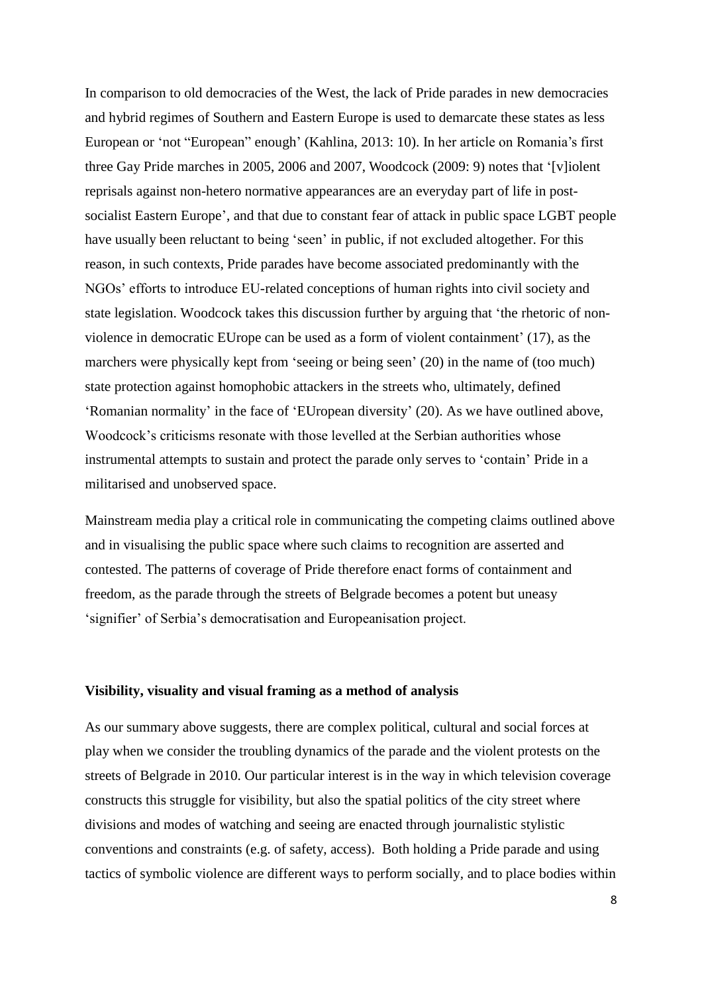In comparison to old democracies of the West, the lack of Pride parades in new democracies and hybrid regimes of Southern and Eastern Europe is used to demarcate these states as less European or 'not "European" enough' (Kahlina, 2013: 10). In her article on Romania's first three Gay Pride marches in 2005, 2006 and 2007, Woodcock (2009: 9) notes that '[v]iolent reprisals against non-hetero normative appearances are an everyday part of life in postsocialist Eastern Europe', and that due to constant fear of attack in public space LGBT people have usually been reluctant to being 'seen' in public, if not excluded altogether. For this reason, in such contexts, Pride parades have become associated predominantly with the NGOs' efforts to introduce EU-related conceptions of human rights into civil society and state legislation. Woodcock takes this discussion further by arguing that 'the rhetoric of nonviolence in democratic EUrope can be used as a form of violent containment' (17), as the marchers were physically kept from 'seeing or being seen' (20) in the name of (too much) state protection against homophobic attackers in the streets who, ultimately, defined 'Romanian normality' in the face of 'EUropean diversity' (20). As we have outlined above, Woodcock's criticisms resonate with those levelled at the Serbian authorities whose instrumental attempts to sustain and protect the parade only serves to 'contain' Pride in a militarised and unobserved space.

Mainstream media play a critical role in communicating the competing claims outlined above and in visualising the public space where such claims to recognition are asserted and contested. The patterns of coverage of Pride therefore enact forms of containment and freedom, as the parade through the streets of Belgrade becomes a potent but uneasy 'signifier' of Serbia's democratisation and Europeanisation project.

#### **Visibility, visuality and visual framing as a method of analysis**

As our summary above suggests, there are complex political, cultural and social forces at play when we consider the troubling dynamics of the parade and the violent protests on the streets of Belgrade in 2010. Our particular interest is in the way in which television coverage constructs this struggle for visibility, but also the spatial politics of the city street where divisions and modes of watching and seeing are enacted through journalistic stylistic conventions and constraints (e.g. of safety, access). Both holding a Pride parade and using tactics of symbolic violence are different ways to perform socially, and to place bodies within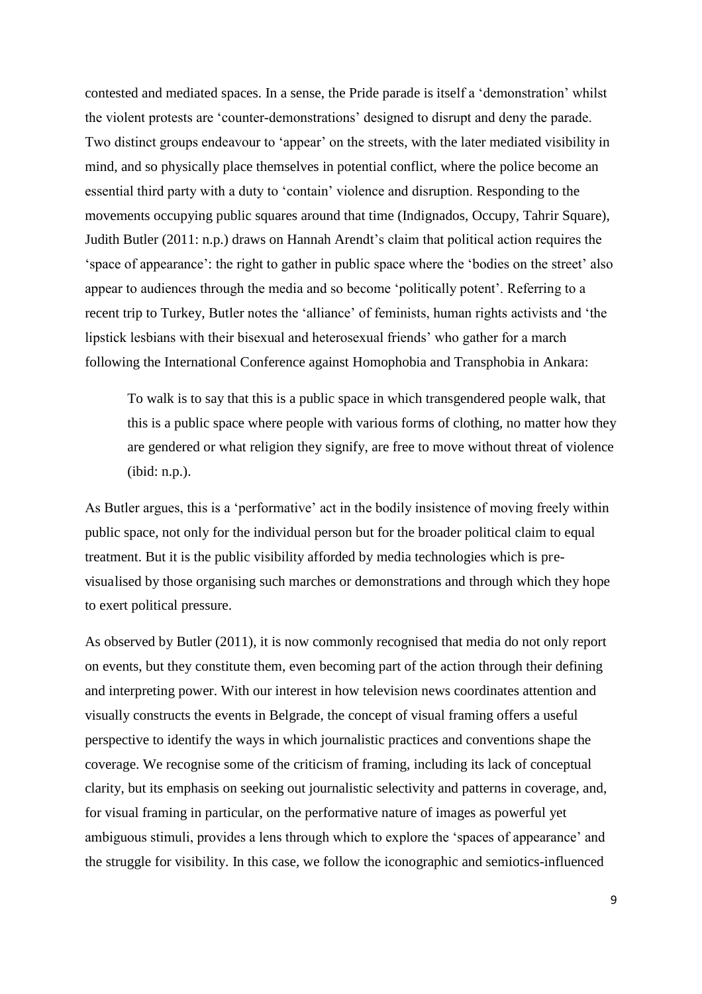contested and mediated spaces. In a sense, the Pride parade is itself a 'demonstration' whilst the violent protests are 'counter-demonstrations' designed to disrupt and deny the parade. Two distinct groups endeavour to 'appear' on the streets, with the later mediated visibility in mind, and so physically place themselves in potential conflict, where the police become an essential third party with a duty to 'contain' violence and disruption. Responding to the movements occupying public squares around that time (Indignados, Occupy, Tahrir Square), Judith Butler (2011: n.p.) draws on Hannah Arendt's claim that political action requires the 'space of appearance': the right to gather in public space where the 'bodies on the street' also appear to audiences through the media and so become 'politically potent'. Referring to a recent trip to Turkey, Butler notes the 'alliance' of feminists, human rights activists and 'the lipstick lesbians with their bisexual and heterosexual friends' who gather for a march following the International Conference against Homophobia and Transphobia in Ankara:

To walk is to say that this is a public space in which transgendered people walk, that this is a public space where people with various forms of clothing, no matter how they are gendered or what religion they signify, are free to move without threat of violence (ibid: n.p.).

As Butler argues, this is a 'performative' act in the bodily insistence of moving freely within public space, not only for the individual person but for the broader political claim to equal treatment. But it is the public visibility afforded by media technologies which is previsualised by those organising such marches or demonstrations and through which they hope to exert political pressure.

As observed by Butler (2011), it is now commonly recognised that media do not only report on events, but they constitute them, even becoming part of the action through their defining and interpreting power. With our interest in how television news coordinates attention and visually constructs the events in Belgrade, the concept of visual framing offers a useful perspective to identify the ways in which journalistic practices and conventions shape the coverage. We recognise some of the criticism of framing, including its lack of conceptual clarity, but its emphasis on seeking out journalistic selectivity and patterns in coverage, and, for visual framing in particular, on the performative nature of images as powerful yet ambiguous stimuli, provides a lens through which to explore the 'spaces of appearance' and the struggle for visibility. In this case, we follow the iconographic and semiotics-influenced

9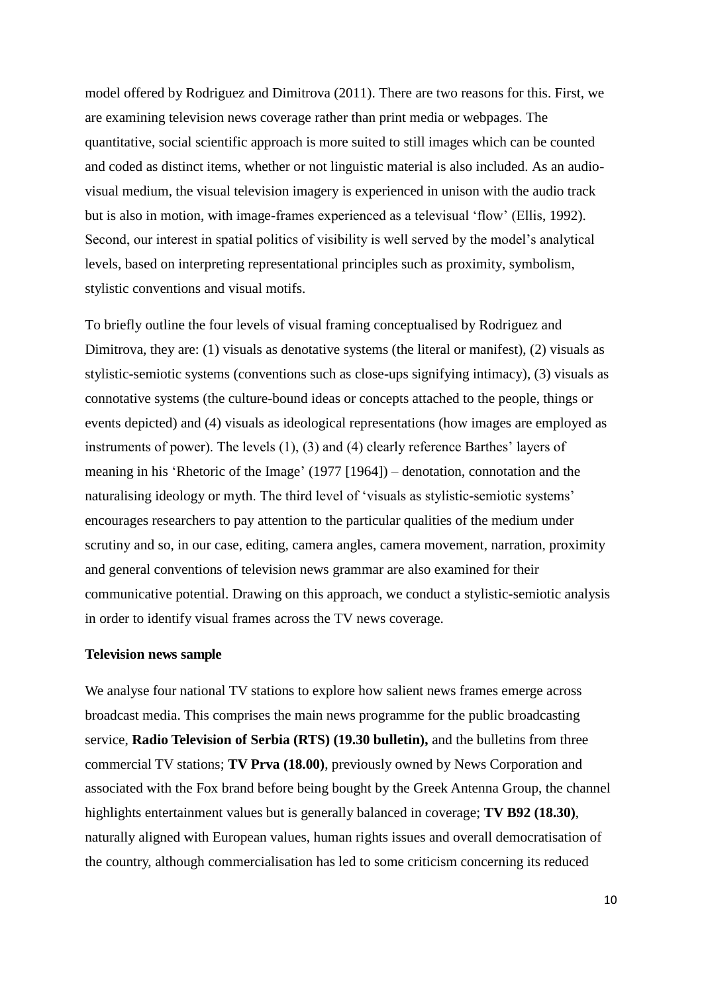model offered by Rodriguez and Dimitrova (2011). There are two reasons for this. First, we are examining television news coverage rather than print media or webpages. The quantitative, social scientific approach is more suited to still images which can be counted and coded as distinct items, whether or not linguistic material is also included. As an audiovisual medium, the visual television imagery is experienced in unison with the audio track but is also in motion, with image-frames experienced as a televisual 'flow' (Ellis, 1992). Second, our interest in spatial politics of visibility is well served by the model's analytical levels, based on interpreting representational principles such as proximity, symbolism, stylistic conventions and visual motifs.

To briefly outline the four levels of visual framing conceptualised by Rodriguez and Dimitrova, they are: (1) visuals as denotative systems (the literal or manifest), (2) visuals as stylistic-semiotic systems (conventions such as close-ups signifying intimacy), (3) visuals as connotative systems (the culture-bound ideas or concepts attached to the people, things or events depicted) and (4) visuals as ideological representations (how images are employed as instruments of power). The levels (1), (3) and (4) clearly reference Barthes' layers of meaning in his 'Rhetoric of the Image' (1977 [1964]) – denotation, connotation and the naturalising ideology or myth. The third level of 'visuals as stylistic-semiotic systems' encourages researchers to pay attention to the particular qualities of the medium under scrutiny and so, in our case, editing, camera angles, camera movement, narration, proximity and general conventions of television news grammar are also examined for their communicative potential. Drawing on this approach, we conduct a stylistic-semiotic analysis in order to identify visual frames across the TV news coverage.

#### **Television news sample**

We analyse four national TV stations to explore how salient news frames emerge across broadcast media. This comprises the main news programme for the public broadcasting service, **Radio Television of Serbia (RTS) (19.30 bulletin),** and the bulletins from three commercial TV stations; **TV Prva (18.00)**, previously owned by News Corporation and associated with the Fox brand before being bought by the Greek Antenna Group, the channel highlights entertainment values but is generally balanced in coverage; **TV B92 (18.30)**, naturally aligned with European values, human rights issues and overall democratisation of the country, although commercialisation has led to some criticism concerning its reduced

10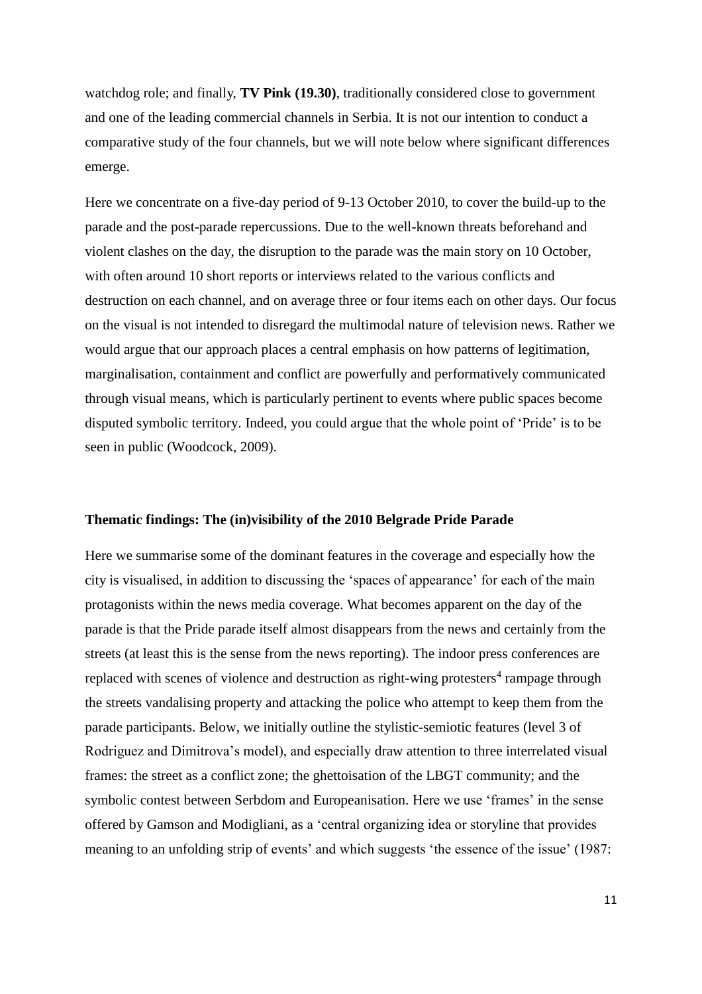watchdog role; and finally, **TV Pink (19.30)**, traditionally considered close to government and one of the leading commercial channels in Serbia. It is not our intention to conduct a comparative study of the four channels, but we will note below where significant differences emerge.

Here we concentrate on a five-day period of 9-13 October 2010, to cover the build-up to the parade and the post-parade repercussions. Due to the well-known threats beforehand and violent clashes on the day, the disruption to the parade was the main story on 10 October, with often around 10 short reports or interviews related to the various conflicts and destruction on each channel, and on average three or four items each on other days. Our focus on the visual is not intended to disregard the multimodal nature of television news. Rather we would argue that our approach places a central emphasis on how patterns of legitimation, marginalisation, containment and conflict are powerfully and performatively communicated through visual means, which is particularly pertinent to events where public spaces become disputed symbolic territory. Indeed, you could argue that the whole point of 'Pride' is to be seen in public (Woodcock, 2009).

#### **Thematic findings: The (in)visibility of the 2010 Belgrade Pride Parade**

Here we summarise some of the dominant features in the coverage and especially how the city is visualised, in addition to discussing the 'spaces of appearance' for each of the main protagonists within the news media coverage. What becomes apparent on the day of the parade is that the Pride parade itself almost disappears from the news and certainly from the streets (at least this is the sense from the news reporting). The indoor press conferences are replaced with scenes of violence and destruction as right-wing protesters<sup>4</sup> rampage through the streets vandalising property and attacking the police who attempt to keep them from the parade participants. Below, we initially outline the stylistic-semiotic features (level 3 of Rodriguez and Dimitrova's model), and especially draw attention to three interrelated visual frames: the street as a conflict zone; the ghettoisation of the LBGT community; and the symbolic contest between Serbdom and Europeanisation. Here we use 'frames' in the sense offered by Gamson and Modigliani, as a 'central organizing idea or storyline that provides meaning to an unfolding strip of events' and which suggests 'the essence of the issue' (1987: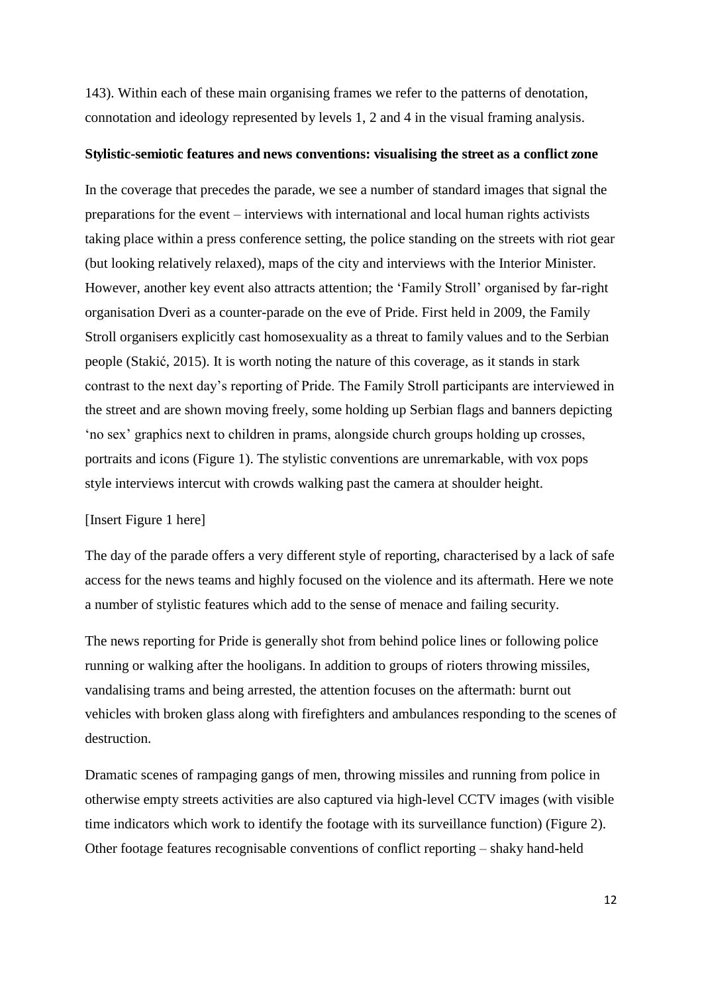143). Within each of these main organising frames we refer to the patterns of denotation, connotation and ideology represented by levels 1, 2 and 4 in the visual framing analysis.

#### **Stylistic-semiotic features and news conventions: visualising the street as a conflict zone**

In the coverage that precedes the parade, we see a number of standard images that signal the preparations for the event – interviews with international and local human rights activists taking place within a press conference setting, the police standing on the streets with riot gear (but looking relatively relaxed), maps of the city and interviews with the Interior Minister. However, another key event also attracts attention; the 'Family Stroll' organised by far-right organisation Dveri as a counter-parade on the eve of Pride. First held in 2009, the Family Stroll organisers explicitly cast homosexuality as a threat to family values and to the Serbian people (Stakić, 2015). It is worth noting the nature of this coverage, as it stands in stark contrast to the next day's reporting of Pride. The Family Stroll participants are interviewed in the street and are shown moving freely, some holding up Serbian flags and banners depicting 'no sex' graphics next to children in prams, alongside church groups holding up crosses, portraits and icons (Figure 1). The stylistic conventions are unremarkable, with vox pops style interviews intercut with crowds walking past the camera at shoulder height.

## [Insert Figure 1 here]

The day of the parade offers a very different style of reporting, characterised by a lack of safe access for the news teams and highly focused on the violence and its aftermath. Here we note a number of stylistic features which add to the sense of menace and failing security.

The news reporting for Pride is generally shot from behind police lines or following police running or walking after the hooligans. In addition to groups of rioters throwing missiles, vandalising trams and being arrested, the attention focuses on the aftermath: burnt out vehicles with broken glass along with firefighters and ambulances responding to the scenes of destruction.

Dramatic scenes of rampaging gangs of men, throwing missiles and running from police in otherwise empty streets activities are also captured via high-level CCTV images (with visible time indicators which work to identify the footage with its surveillance function) (Figure 2). Other footage features recognisable conventions of conflict reporting – shaky hand-held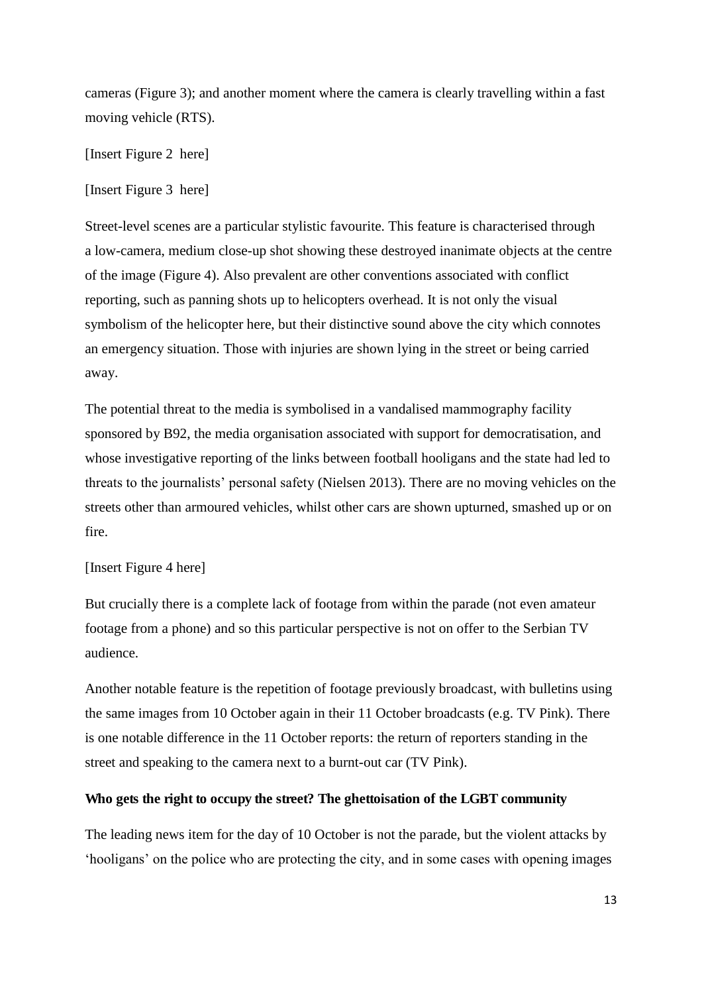cameras (Figure 3); and another moment where the camera is clearly travelling within a fast moving vehicle (RTS).

[Insert Figure 2 here]

[Insert Figure 3 here]

Street-level scenes are a particular stylistic favourite. This feature is characterised through a low-camera, medium close-up shot showing these destroyed inanimate objects at the centre of the image (Figure 4). Also prevalent are other conventions associated with conflict reporting, such as panning shots up to helicopters overhead. It is not only the visual symbolism of the helicopter here, but their distinctive sound above the city which connotes an emergency situation. Those with injuries are shown lying in the street or being carried away.

The potential threat to the media is symbolised in a vandalised mammography facility sponsored by B92, the media organisation associated with support for democratisation, and whose investigative reporting of the links between football hooligans and the state had led to threats to the journalists' personal safety (Nielsen 2013). There are no moving vehicles on the streets other than armoured vehicles, whilst other cars are shown upturned, smashed up or on fire.

## [Insert Figure 4 here]

But crucially there is a complete lack of footage from within the parade (not even amateur footage from a phone) and so this particular perspective is not on offer to the Serbian TV audience.

Another notable feature is the repetition of footage previously broadcast, with bulletins using the same images from 10 October again in their 11 October broadcasts (e.g. TV Pink). There is one notable difference in the 11 October reports: the return of reporters standing in the street and speaking to the camera next to a burnt-out car (TV Pink).

## **Who gets the right to occupy the street? The ghettoisation of the LGBT community**

The leading news item for the day of 10 October is not the parade, but the violent attacks by 'hooligans' on the police who are protecting the city, and in some cases with opening images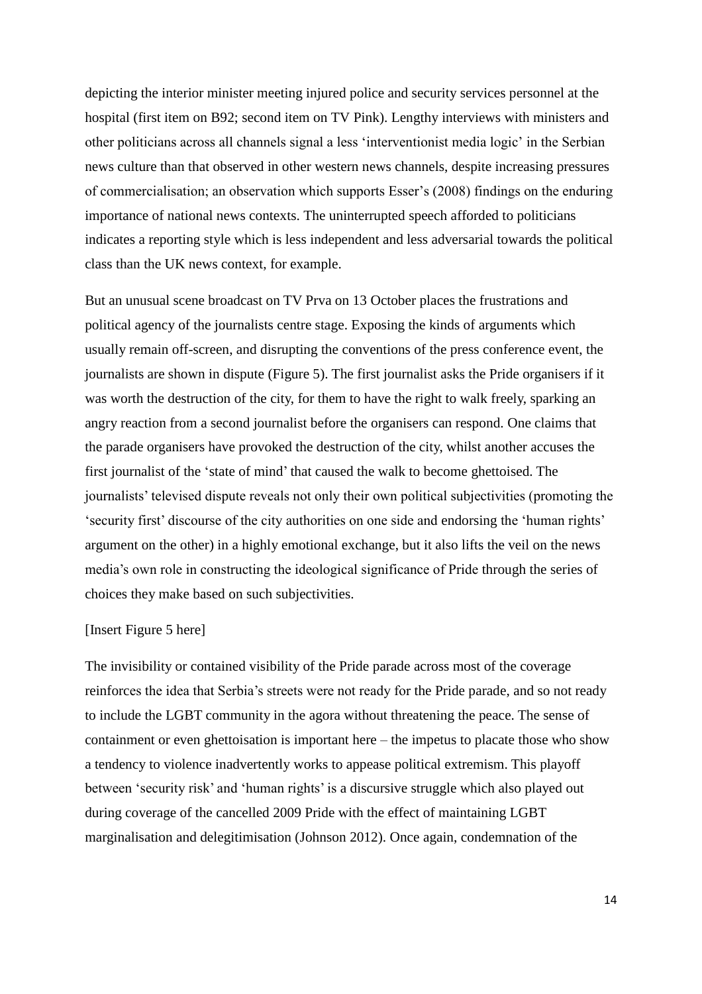depicting the interior minister meeting injured police and security services personnel at the hospital (first item on B92; second item on TV Pink). Lengthy interviews with ministers and other politicians across all channels signal a less 'interventionist media logic' in the Serbian news culture than that observed in other western news channels, despite increasing pressures of commercialisation; an observation which supports Esser's (2008) findings on the enduring importance of national news contexts. The uninterrupted speech afforded to politicians indicates a reporting style which is less independent and less adversarial towards the political class than the UK news context, for example.

But an unusual scene broadcast on TV Prva on 13 October places the frustrations and political agency of the journalists centre stage. Exposing the kinds of arguments which usually remain off-screen, and disrupting the conventions of the press conference event, the journalists are shown in dispute (Figure 5). The first journalist asks the Pride organisers if it was worth the destruction of the city, for them to have the right to walk freely, sparking an angry reaction from a second journalist before the organisers can respond. One claims that the parade organisers have provoked the destruction of the city, whilst another accuses the first journalist of the 'state of mind' that caused the walk to become ghettoised. The journalists' televised dispute reveals not only their own political subjectivities (promoting the 'security first' discourse of the city authorities on one side and endorsing the 'human rights' argument on the other) in a highly emotional exchange, but it also lifts the veil on the news media's own role in constructing the ideological significance of Pride through the series of choices they make based on such subjectivities.

#### [Insert Figure 5 here]

The invisibility or contained visibility of the Pride parade across most of the coverage reinforces the idea that Serbia's streets were not ready for the Pride parade, and so not ready to include the LGBT community in the agora without threatening the peace. The sense of containment or even ghettoisation is important here – the impetus to placate those who show a tendency to violence inadvertently works to appease political extremism. This playoff between 'security risk' and 'human rights' is a discursive struggle which also played out during coverage of the cancelled 2009 Pride with the effect of maintaining LGBT marginalisation and delegitimisation (Johnson 2012). Once again, condemnation of the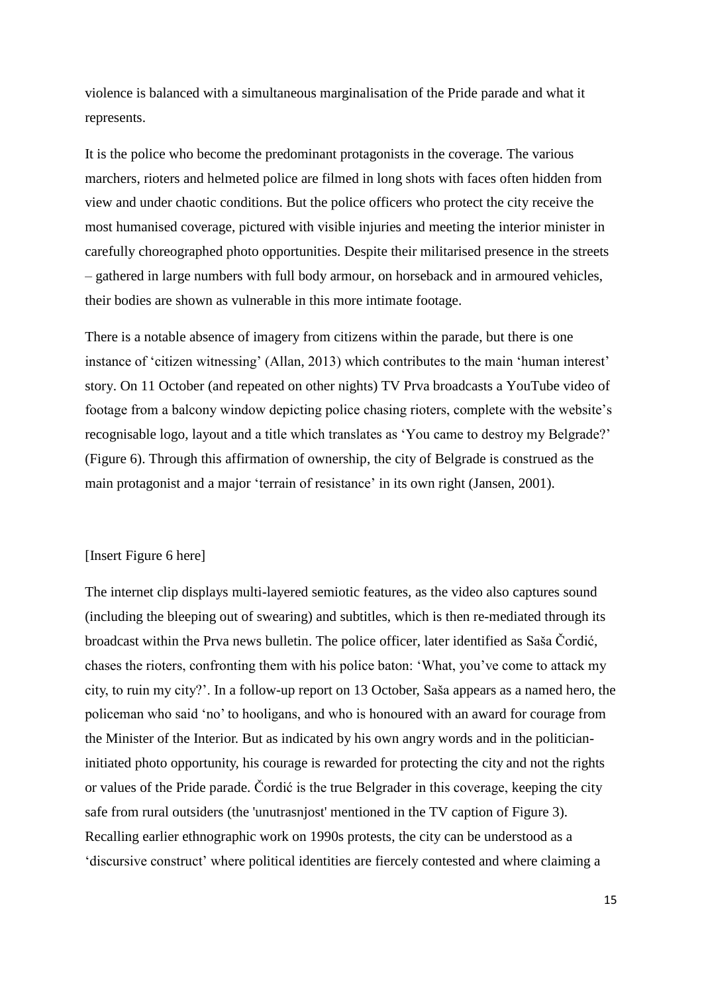violence is balanced with a simultaneous marginalisation of the Pride parade and what it represents.

It is the police who become the predominant protagonists in the coverage. The various marchers, rioters and helmeted police are filmed in long shots with faces often hidden from view and under chaotic conditions. But the police officers who protect the city receive the most humanised coverage, pictured with visible injuries and meeting the interior minister in carefully choreographed photo opportunities. Despite their militarised presence in the streets – gathered in large numbers with full body armour, on horseback and in armoured vehicles, their bodies are shown as vulnerable in this more intimate footage.

There is a notable absence of imagery from citizens within the parade, but there is one instance of 'citizen witnessing' (Allan, 2013) which contributes to the main 'human interest' story. On 11 October (and repeated on other nights) TV Prva broadcasts a YouTube video of footage from a balcony window depicting police chasing rioters, complete with the website's recognisable logo, layout and a title which translates as 'You came to destroy my Belgrade?' (Figure 6). Through this affirmation of ownership, the city of Belgrade is construed as the main protagonist and a major 'terrain of resistance' in its own right (Jansen, 2001).

#### [Insert Figure 6 here]

The internet clip displays multi-layered semiotic features, as the video also captures sound (including the bleeping out of swearing) and subtitles, which is then re-mediated through its broadcast within the Prva news bulletin. The police officer, later identified as Saša Čordić, chases the rioters, confronting them with his police baton: 'What, you've come to attack my city, to ruin my city?'. In a follow-up report on 13 October, Saša appears as a named hero, the policeman who said 'no' to hooligans, and who is honoured with an award for courage from the Minister of the Interior. But as indicated by his own angry words and in the politicianinitiated photo opportunity, his courage is rewarded for protecting the city and not the rights or values of the Pride parade. Čordić is the true Belgrader in this coverage, keeping the city safe from rural outsiders (the 'unutrasnjost' mentioned in the TV caption of Figure 3). Recalling earlier ethnographic work on 1990s protests, the city can be understood as a 'discursive construct' where political identities are fiercely contested and where claiming a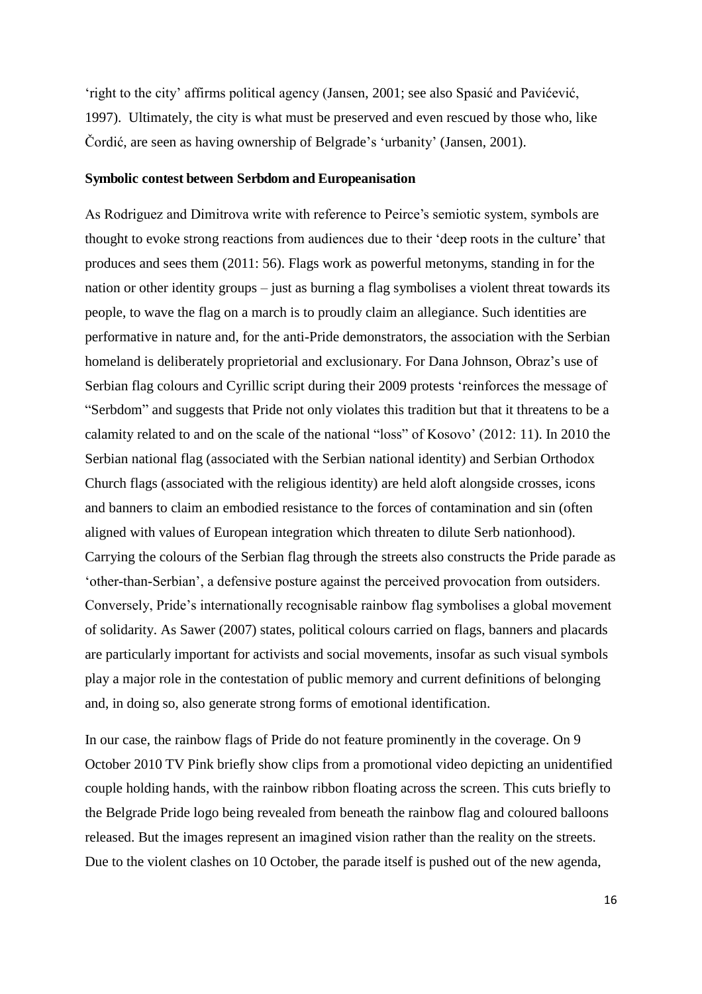'right to the city' affirms political agency (Jansen, 2001; see also Spasić and Pavićević, 1997). Ultimately, the city is what must be preserved and even rescued by those who, like Čordić, are seen as having ownership of Belgrade's 'urbanity' (Jansen, 2001).

#### **Symbolic contest between Serbdom and Europeanisation**

As Rodriguez and Dimitrova write with reference to Peirce's semiotic system, symbols are thought to evoke strong reactions from audiences due to their 'deep roots in the culture' that produces and sees them (2011: 56). Flags work as powerful metonyms, standing in for the nation or other identity groups – just as burning a flag symbolises a violent threat towards its people, to wave the flag on a march is to proudly claim an allegiance. Such identities are performative in nature and, for the anti-Pride demonstrators, the association with the Serbian homeland is deliberately proprietorial and exclusionary. For Dana Johnson, Obraz's use of Serbian flag colours and Cyrillic script during their 2009 protests 'reinforces the message of "Serbdom" and suggests that Pride not only violates this tradition but that it threatens to be a calamity related to and on the scale of the national "loss" of Kosovo' (2012: 11). In 2010 the Serbian national flag (associated with the Serbian national identity) and Serbian Orthodox Church flags (associated with the religious identity) are held aloft alongside crosses, icons and banners to claim an embodied resistance to the forces of contamination and sin (often aligned with values of European integration which threaten to dilute Serb nationhood). Carrying the colours of the Serbian flag through the streets also constructs the Pride parade as 'other-than-Serbian', a defensive posture against the perceived provocation from outsiders. Conversely, Pride's internationally recognisable rainbow flag symbolises a global movement of solidarity. As Sawer (2007) states, political colours carried on flags, banners and placards are particularly important for activists and social movements, insofar as such visual symbols play a major role in the contestation of public memory and current definitions of belonging and, in doing so, also generate strong forms of emotional identification.

In our case, the rainbow flags of Pride do not feature prominently in the coverage. On 9 October 2010 TV Pink briefly show clips from a promotional video depicting an unidentified couple holding hands, with the rainbow ribbon floating across the screen. This cuts briefly to the Belgrade Pride logo being revealed from beneath the rainbow flag and coloured balloons released. But the images represent an imagined vision rather than the reality on the streets. Due to the violent clashes on 10 October, the parade itself is pushed out of the new agenda,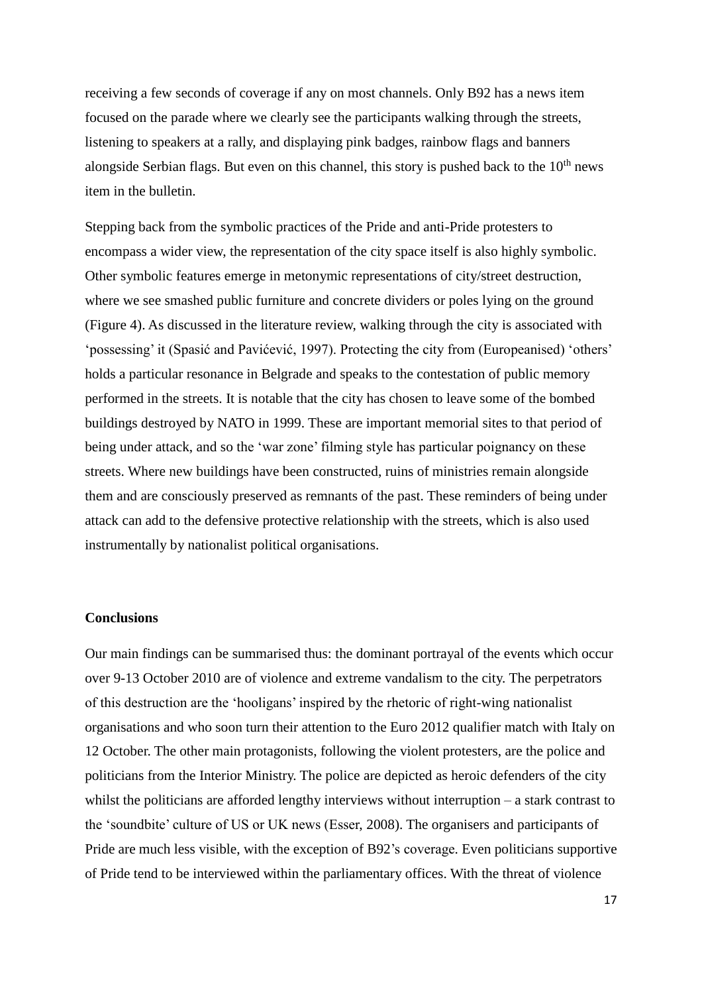receiving a few seconds of coverage if any on most channels. Only B92 has a news item focused on the parade where we clearly see the participants walking through the streets, listening to speakers at a rally, and displaying pink badges, rainbow flags and banners alongside Serbian flags. But even on this channel, this story is pushed back to the  $10<sup>th</sup>$  news item in the bulletin.

Stepping back from the symbolic practices of the Pride and anti-Pride protesters to encompass a wider view, the representation of the city space itself is also highly symbolic. Other symbolic features emerge in metonymic representations of city/street destruction, where we see smashed public furniture and concrete dividers or poles lying on the ground (Figure 4). As discussed in the literature review, walking through the city is associated with 'possessing' it (Spasić and Pavićević, 1997). Protecting the city from (Europeanised) 'others' holds a particular resonance in Belgrade and speaks to the contestation of public memory performed in the streets. It is notable that the city has chosen to leave some of the bombed buildings destroyed by NATO in 1999. These are important memorial sites to that period of being under attack, and so the 'war zone' filming style has particular poignancy on these streets. Where new buildings have been constructed, ruins of ministries remain alongside them and are consciously preserved as remnants of the past. These reminders of being under attack can add to the defensive protective relationship with the streets, which is also used instrumentally by nationalist political organisations.

## **Conclusions**

Our main findings can be summarised thus: the dominant portrayal of the events which occur over 9-13 October 2010 are of violence and extreme vandalism to the city. The perpetrators of this destruction are the 'hooligans' inspired by the rhetoric of right-wing nationalist organisations and who soon turn their attention to the Euro 2012 qualifier match with Italy on 12 October. The other main protagonists, following the violent protesters, are the police and politicians from the Interior Ministry. The police are depicted as heroic defenders of the city whilst the politicians are afforded lengthy interviews without interruption – a stark contrast to the 'soundbite' culture of US or UK news (Esser, 2008). The organisers and participants of Pride are much less visible, with the exception of B92's coverage. Even politicians supportive of Pride tend to be interviewed within the parliamentary offices. With the threat of violence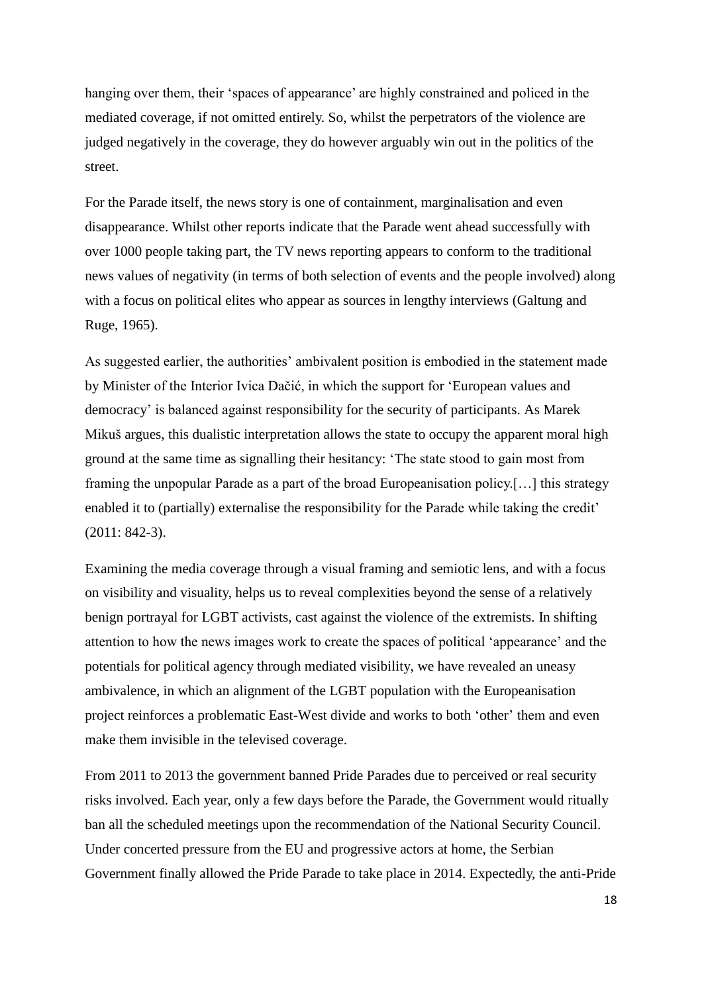hanging over them, their 'spaces of appearance' are highly constrained and policed in the mediated coverage, if not omitted entirely. So, whilst the perpetrators of the violence are judged negatively in the coverage, they do however arguably win out in the politics of the street.

For the Parade itself, the news story is one of containment, marginalisation and even disappearance. Whilst other reports indicate that the Parade went ahead successfully with over 1000 people taking part, the TV news reporting appears to conform to the traditional news values of negativity (in terms of both selection of events and the people involved) along with a focus on political elites who appear as sources in lengthy interviews (Galtung and Ruge, 1965).

As suggested earlier, the authorities' ambivalent position is embodied in the statement made by Minister of the Interior Ivica Dačić, in which the support for 'European values and democracy' is balanced against responsibility for the security of participants. As Marek Mikuš argues, this dualistic interpretation allows the state to occupy the apparent moral high ground at the same time as signalling their hesitancy: 'The state stood to gain most from framing the unpopular Parade as a part of the broad Europeanisation policy.[…] this strategy enabled it to (partially) externalise the responsibility for the Parade while taking the credit' (2011: 842-3).

Examining the media coverage through a visual framing and semiotic lens, and with a focus on visibility and visuality, helps us to reveal complexities beyond the sense of a relatively benign portrayal for LGBT activists, cast against the violence of the extremists. In shifting attention to how the news images work to create the spaces of political 'appearance' and the potentials for political agency through mediated visibility, we have revealed an uneasy ambivalence, in which an alignment of the LGBT population with the Europeanisation project reinforces a problematic East-West divide and works to both 'other' them and even make them invisible in the televised coverage.

From 2011 to 2013 the government banned Pride Parades due to perceived or real security risks involved. Each year, only a few days before the Parade, the Government would ritually ban all the scheduled meetings upon the recommendation of the National Security Council. Under concerted pressure from the EU and progressive actors at home, the Serbian Government finally allowed the Pride Parade to take place in 2014. Expectedly, the anti-Pride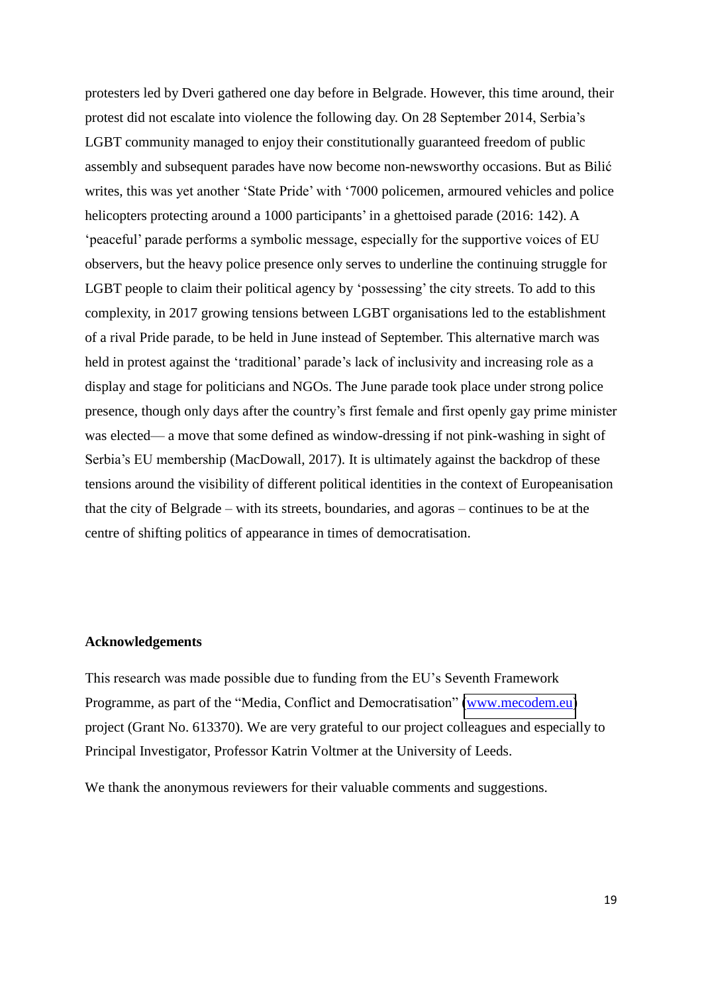protesters led by Dveri gathered one day before in Belgrade. However, this time around, their protest did not escalate into violence the following day. On 28 September 2014, Serbia's LGBT community managed to enjoy their constitutionally guaranteed freedom of public assembly and subsequent parades have now become non-newsworthy occasions. But as Bilić writes, this was yet another 'State Pride' with '7000 policemen, armoured vehicles and police helicopters protecting around a 1000 participants' in a ghettoised parade (2016: 142). A 'peaceful' parade performs a symbolic message, especially for the supportive voices of EU observers, but the heavy police presence only serves to underline the continuing struggle for LGBT people to claim their political agency by 'possessing' the city streets. To add to this complexity, in 2017 growing tensions between LGBT organisations led to the establishment of a rival Pride parade, to be held in June instead of September. This alternative march was held in protest against the 'traditional' parade's lack of inclusivity and increasing role as a display and stage for politicians and NGOs. The June parade took place under strong police presence, though only days after the country's first female and first openly gay prime minister was elected— a move that some defined as window-dressing if not pink-washing in sight of Serbia's EU membership (MacDowall, 2017). It is ultimately against the backdrop of these tensions around the visibility of different political identities in the context of Europeanisation that the city of Belgrade – with its streets, boundaries, and agoras – continues to be at the centre of shifting politics of appearance in times of democratisation.

#### **Acknowledgements**

This research was made possible due to funding from the EU's Seventh Framework Programme, as part of the "Media, Conflict and Democratisation" [\(www.mecodem.eu\)](http://www.mecodem.eu/) project (Grant No. 613370). We are very grateful to our project colleagues and especially to Principal Investigator, Professor Katrin Voltmer at the University of Leeds.

We thank the anonymous reviewers for their valuable comments and suggestions.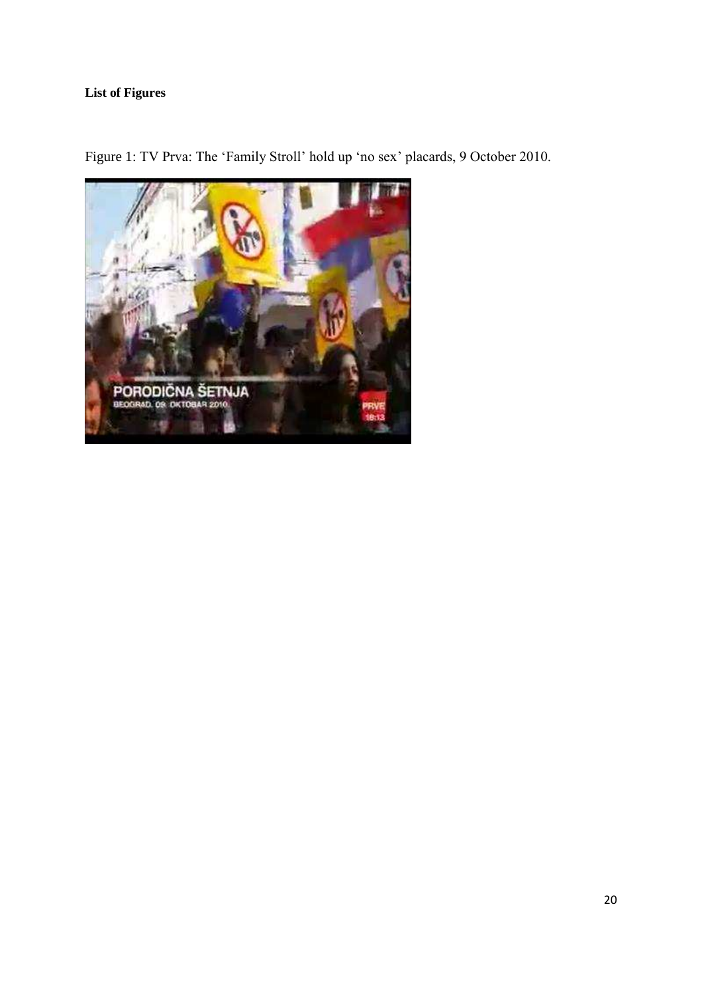# **List of Figures**



Figure 1: TV Prva: The 'Family Stroll' hold up 'no sex' placards, 9 October 2010.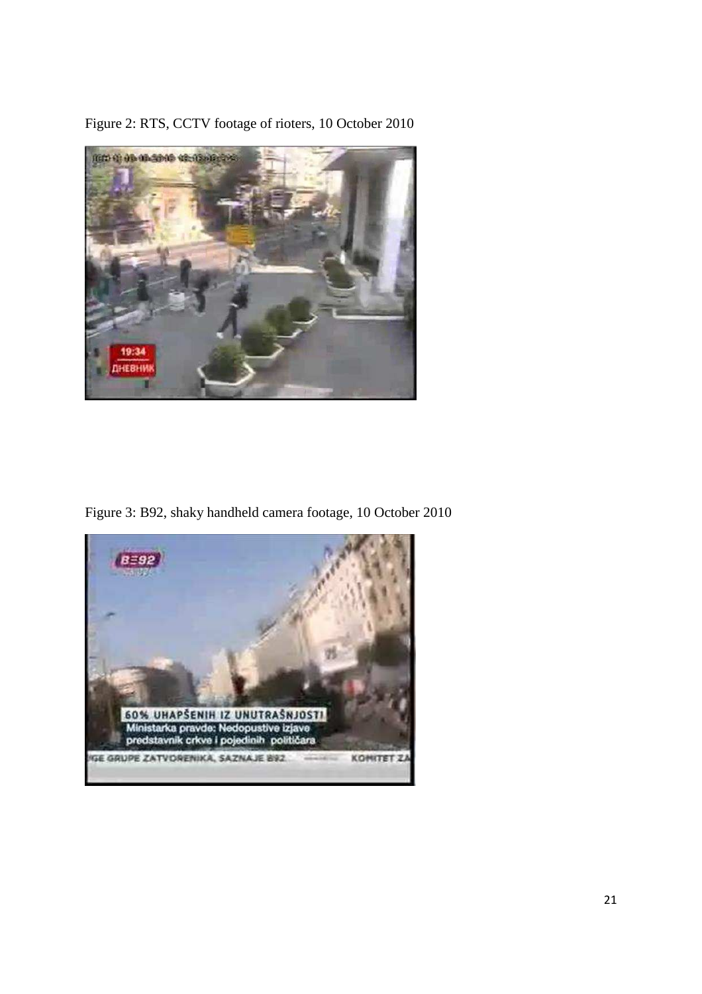

Figure 2: RTS, CCTV footage of rioters, 10 October 2010

Figure 3: B92, shaky handheld camera footage, 10 October 2010

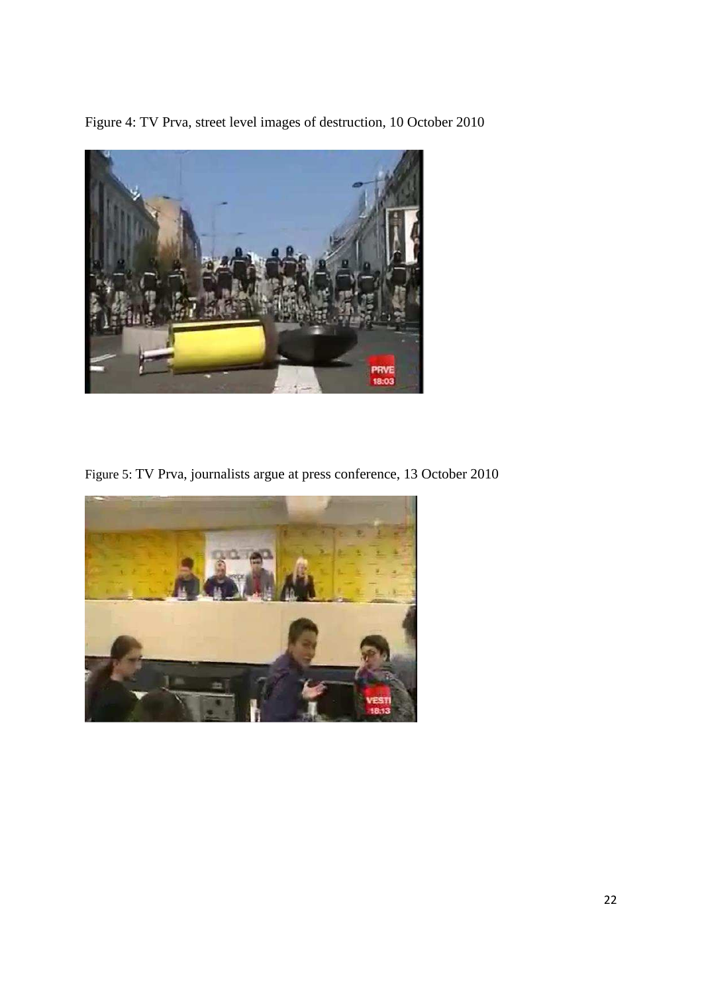Figure 4: TV Prva, street level images of destruction, 10 October 2010



Figure 5: TV Prva, journalists argue at press conference, 13 October 2010

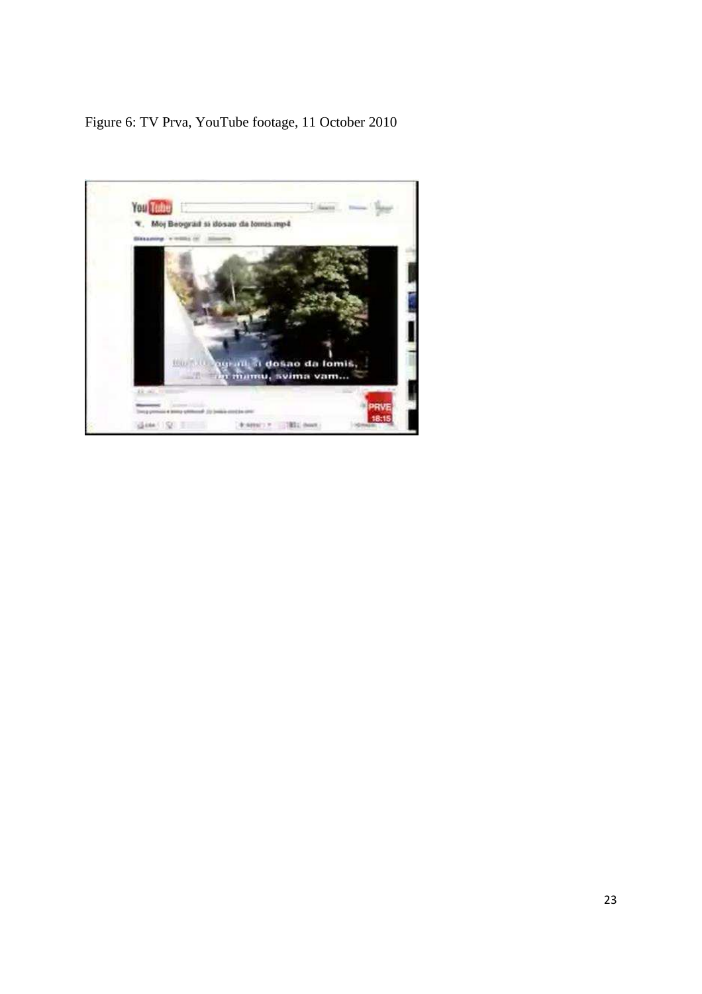# Figure 6: TV Prva, YouTube footage, 11 October 2010

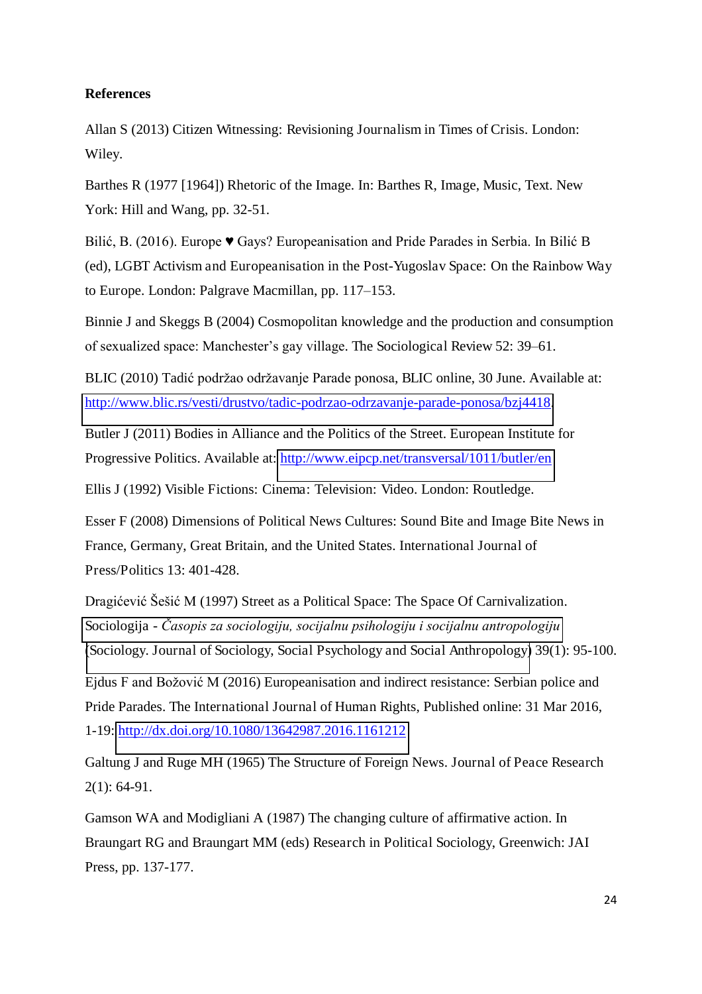# **References**

Allan S (2013) Citizen Witnessing: Revisioning Journalism in Times of Crisis. London: Wiley.

Barthes R (1977 [1964]) Rhetoric of the Image. In: Barthes R, Image, Music, Text. New York: Hill and Wang, pp. 32-51.

Bilić, B. (2016). Europe  $\blacktriangledown$  Gays? Europeanisation and Pride Parades in Serbia. In Bilić B (ed), LGBT Activism and Europeanisation in the Post-Yugoslav Space: On the Rainbow Way to Europe. London: Palgrave Macmillan, pp. 117–153.

Binnie J and Skeggs B (2004) Cosmopolitan knowledge and the production and consumption of sexualized space: Manchester's gay village. The Sociological Review 52: 39–61.

BLIC (2010) Tadić podržao održavanje Parade ponosa, BLIC online, 30 June. Available at: [http://www.blic.rs/vesti/drustvo/tadic-podrzao-odrzavanje-parade-ponosa/bzj4418.](http://www.blic.rs/vesti/drustvo/tadic-podrzao-odrzavanje-parade-ponosa/bzj4418)

Butler J (2011) Bodies in Alliance and the Politics of the Street. European Institute for Progressive Politics. Available at:<http://www.eipcp.net/transversal/1011/butler/en>

Ellis J (1992) Visible Fictions: Cinema: Television: Video. London: Routledge.

Esser F (2008) Dimensions of Political News Cultures: Sound Bite and Image Bite News in France, Germany, Great Britain, and the United States. International Journal of Press/Politics 13: 401-428.

Dragićević Šešić M (1997) Street as a Political Space: The Space Of Carnivalization. Sociologija - *[Časopis za sociologiju, socijalnu psihologiju i socijalnu antropologiju](http://www.komunikacija.org.rs/komunikacija/casopisi/sociologija/index_html?stdlang=ser_lat)* [\(Sociology. Journal of Sociology, Social Psychology and Social Anthropology\)](http://www.komunikacija.org.rs/komunikacija/casopisi/sociologija/index_html?stdlang=dk) 39(1): 95-100.

Ejdus F and Božović M (2016) Europeanisation and indirect resistance: Serbian police and Pride Parades. The International Journal of Human Rights, Published online: 31 Mar 2016, 1-19:<http://dx.doi.org/10.1080/13642987.2016.1161212>

Galtung J and Ruge MH (1965) The Structure of Foreign News. Journal of Peace Research 2(1): 64-91.

Gamson WA and Modigliani A (1987) The changing culture of affirmative action. In Braungart RG and Braungart MM (eds) Research in Political Sociology, Greenwich: JAI Press, pp. 137-177.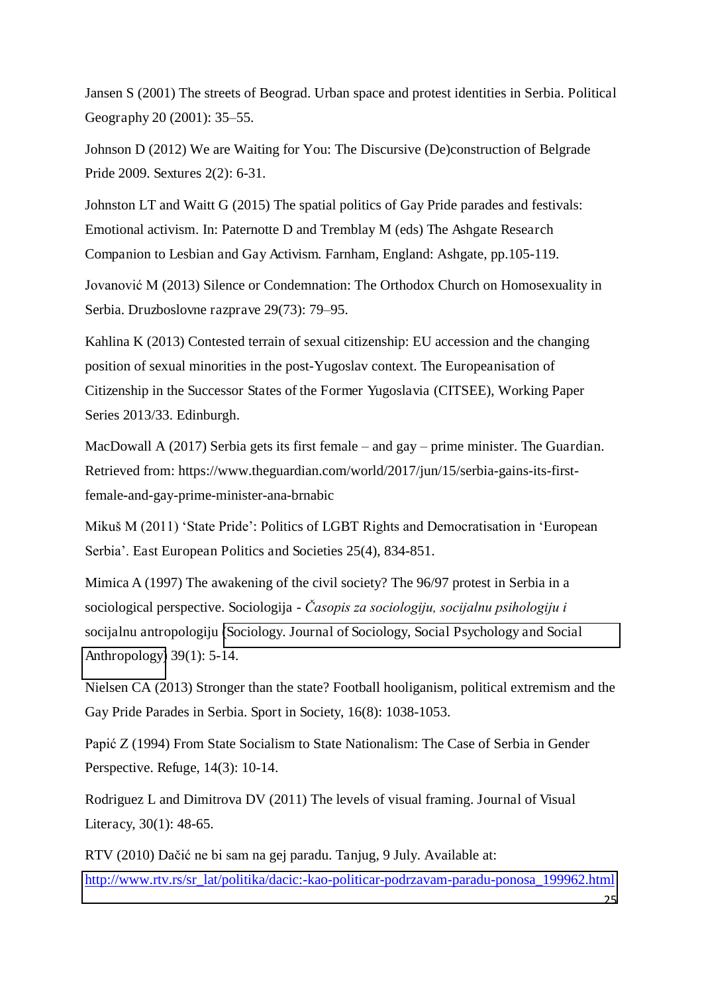Jansen S (2001) The streets of Beograd. Urban space and protest identities in Serbia. Political Geography 20 (2001): 35–55.

Johnson D (2012) We are Waiting for You: The Discursive (De)construction of Belgrade Pride 2009. Sextures 2(2): 6-31.

Johnston LT and Waitt G (2015) The spatial politics of Gay Pride parades and festivals: Emotional activism. In: Paternotte D and Tremblay M (eds) The Ashgate Research Companion to Lesbian and Gay Activism. Farnham, England: Ashgate, pp.105-119.

Jovanović M (2013) Silence or Condemnation: The Orthodox Church on Homosexuality in Serbia. Druzboslovne razprave 29(73): 79–95.

Kahlina K (2013) Contested terrain of sexual citizenship: EU accession and the changing position of sexual minorities in the post-Yugoslav context. The Europeanisation of Citizenship in the Successor States of the Former Yugoslavia (CITSEE), Working Paper Series 2013/33. Edinburgh.

MacDowall A (2017) Serbia gets its first female – and gay – prime minister. The Guardian. Retrieved from: https://www.theguardian.com/world/2017/jun/15/serbia-gains-its-firstfemale-and-gay-prime-minister-ana-brnabic

Mikuš M (2011) 'State Pride': Politics of LGBT Rights and Democratisation in 'European Serbia'. East European Politics and Societies 25(4), 834-851.

Mimica A (1997) The awakening of the civil society? The 96/97 protest in Serbia in a sociological perspective. Sociologija - *Časopis za sociologiju, socijalnu psihologiju i*  socijalnu antropologiju [\(Sociology. Journal of Sociology, Social Psychology and Social](http://www.komunikacija.org.rs/komunikacija/casopisi/sociologija/index_html?stdlang=dk)  [Anthropology\)](http://www.komunikacija.org.rs/komunikacija/casopisi/sociologija/index_html?stdlang=dk) 39(1): 5-14.

Nielsen CA (2013) Stronger than the state? Football hooliganism, political extremism and the Gay Pride Parades in Serbia. Sport in Society, 16(8): 1038-1053.

Papić Z (1994) From State Socialism to State Nationalism: The Case of Serbia in Gender Perspective. Refuge, 14(3): 10-14.

Rodriguez L and Dimitrova DV (2011) The levels of visual framing. Journal of Visual Literacy, 30(1): 48-65.

RTV (2010) Dačić ne bi sam na gej paradu. Tanjug, 9 July. Available at: [http://www.rtv.rs/sr\\_lat/politika/dacic:-kao-politicar-podrzavam-paradu-ponosa\\_199962.html](http://www.rtv.rs/sr_lat/politika/dacic:-kao-politicar-podrzavam-paradu-ponosa_199962.html)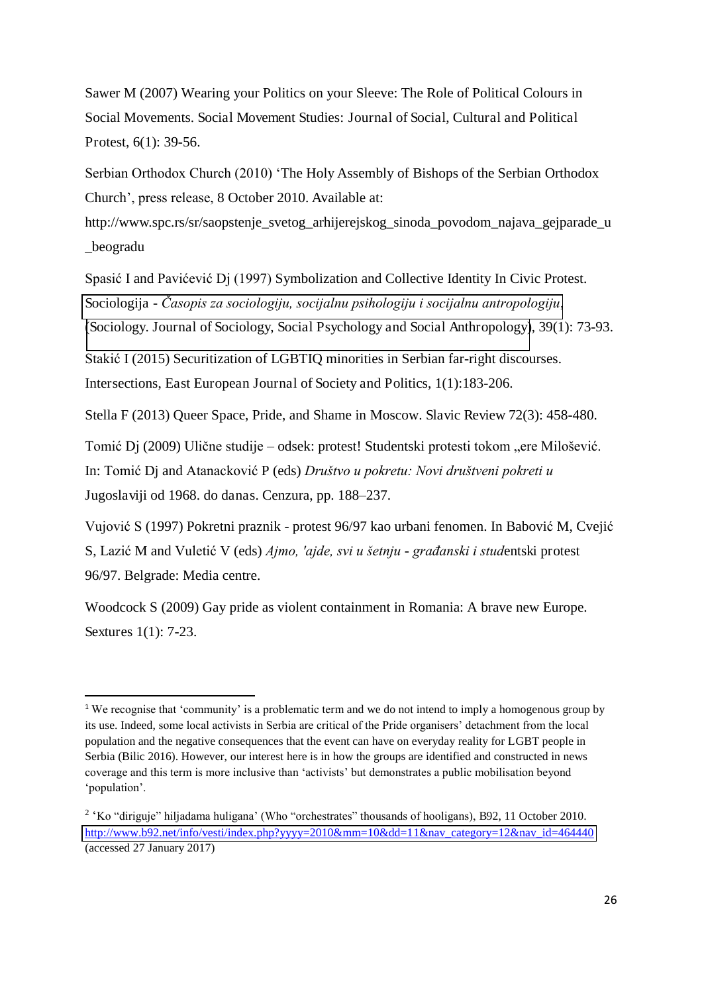Sawer M (2007) Wearing your Politics on your Sleeve: The Role of Political Colours in Social Movements. Social Movement Studies: Journal of Social, Cultural and Political Protest, 6(1): 39-56.

Serbian Orthodox Church (2010) 'The Holy Assembly of Bishops of the Serbian Orthodox Church', press release, 8 October 2010. Available at:

http://www.spc.rs/sr/saopstenje\_svetog\_arhijerejskog\_sinoda\_povodom\_najava\_gejparade\_u \_beogradu

Spasić I and Pavićević Dj (1997) Symbolization and Collective Identity In Civic Protest. Sociologija - *[Časopis za sociologiju, socijalnu psihologiju i socijalnu antropologiju](http://www.komunikacija.org.rs/komunikacija/casopisi/sociologija/index_html?stdlang=ser_lat)*, [\(Sociology. Journal of Sociology, Social Psychology and Social Anthropology\)](http://www.komunikacija.org.rs/komunikacija/casopisi/sociologija/index_html?stdlang=dk), 39(1): 73-93.

Stakić I (2015) Securitization of LGBTIQ minorities in Serbian far-right discourses. Intersections, East European Journal of Society and Politics, 1(1):183-206.

Stella F (2013) Queer Space, Pride, and Shame in Moscow. Slavic Review 72(3): 458-480.

Tomić Dj (2009) Ulične studije – odsek: protest! Studentski protesti tokom "ere Milošević.

In: Tomić Dj and Atanacković P (eds) *Društvo u pokretu: Novi društveni pokreti u*  Jugoslaviji od 1968. do danas. Cenzura, pp. 188–237.

Vujović S (1997) Pokretni praznik - protest 96/97 kao urbani fenomen. In Babović M, Cvejić

 $\overline{a}$ 

S, Lazić M and Vuletić V (eds) *Ajmo, 'ajde, svi u šetnju* - *građanski i stud*entski protest 96/97. Belgrade: Media centre.

Woodcock S (2009) Gay pride as violent containment in Romania: A brave new Europe. Sextures 1(1): 7-23.

<sup>&</sup>lt;sup>1</sup> We recognise that 'community' is a problematic term and we do not intend to imply a homogenous group by its use. Indeed, some local activists in Serbia are critical of the Pride organisers' detachment from the local population and the negative consequences that the event can have on everyday reality for LGBT people in Serbia (Bilic 2016). However, our interest here is in how the groups are identified and constructed in news coverage and this term is more inclusive than 'activists' but demonstrates a public mobilisation beyond 'population'.

<sup>&</sup>lt;sup>2</sup> 'Ko "diriguje" hiljadama huligana' (Who "orchestrates" thousands of hooligans), B92, 11 October 2010. [http://www.b92.net/info/vesti/index.php?yyyy=2010&mm=10&dd=11&nav\\_category=12&nav\\_id=464440](http://www.b92.net/info/vesti/index.php?yyyy=2010&mm=10&dd=11&nav_category=12&nav_id=464440) (accessed 27 January 2017)